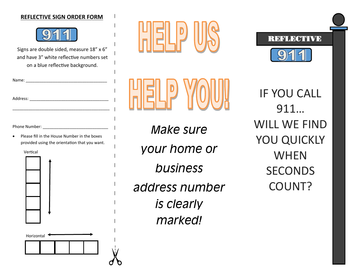## **REFLECTIVE SIGN ORDER FORM**

|

|

|

|

|

|

|

|

|

|

|

|

|

|

|

|

|

|

|

|

|

|

|



Signs are double sided, measure 18" <sup>x</sup> 6" and have 3" white reflective numbers set on a blue reflective background.

Name: \_\_\_\_\_\_\_\_\_\_\_\_\_\_\_\_\_\_\_\_\_\_\_\_\_\_\_\_\_\_\_\_\_\_\_\_

Phone Number:

Address:

. Please fill in the House Number in the boxes provided using the orientation that you want.

**Vertical** 







*Make sure your home or business address number is clearly marked!* 

**REFLECTIVE** 

IF YOU CALL 911…WILL WE FINDYOU QUICKLY WHENSECONDS COUNT?